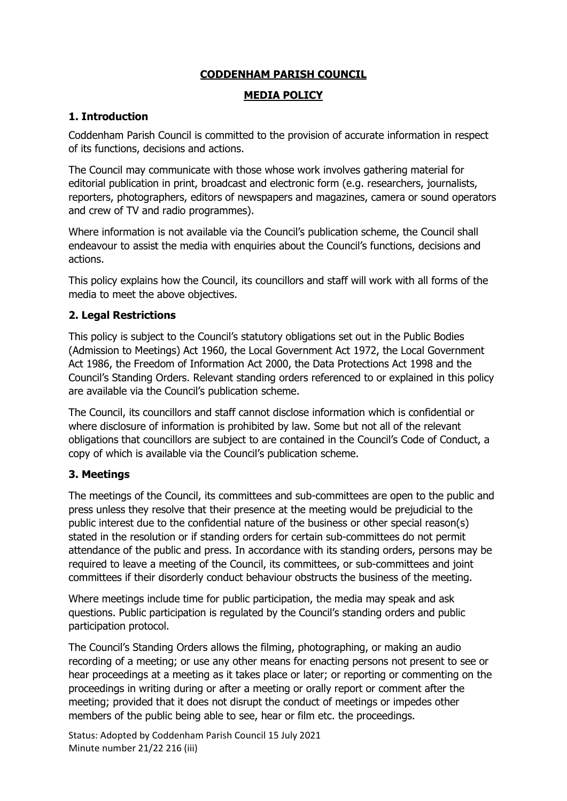## **CODDENHAM PARISH COUNCIL**

#### **MEDIA POLICY**

# **1. Introduction**

Coddenham Parish Council is committed to the provision of accurate information in respect of its functions, decisions and actions.

The Council may communicate with those whose work involves gathering material for editorial publication in print, broadcast and electronic form (e.g. researchers, journalists, reporters, photographers, editors of newspapers and magazines, camera or sound operators and crew of TV and radio programmes).

Where information is not available via the Council's publication scheme, the Council shall endeavour to assist the media with enquiries about the Council's functions, decisions and actions.

This policy explains how the Council, its councillors and staff will work with all forms of the media to meet the above objectives.

## **2. Legal Restrictions**

This policy is subject to the Council's statutory obligations set out in the Public Bodies (Admission to Meetings) Act 1960, the Local Government Act 1972, the Local Government Act 1986, the Freedom of Information Act 2000, the Data Protections Act 1998 and the Council's Standing Orders. Relevant standing orders referenced to or explained in this policy are available via the Council's publication scheme.

The Council, its councillors and staff cannot disclose information which is confidential or where disclosure of information is prohibited by law. Some but not all of the relevant obligations that councillors are subject to are contained in the Council's Code of Conduct, a copy of which is available via the Council's publication scheme.

## **3. Meetings**

The meetings of the Council, its committees and sub-committees are open to the public and press unless they resolve that their presence at the meeting would be prejudicial to the public interest due to the confidential nature of the business or other special reason(s) stated in the resolution or if standing orders for certain sub-committees do not permit attendance of the public and press. In accordance with its standing orders, persons may be required to leave a meeting of the Council, its committees, or sub-committees and joint committees if their disorderly conduct behaviour obstructs the business of the meeting.

Where meetings include time for public participation, the media may speak and ask questions. Public participation is regulated by the Council's standing orders and public participation protocol.

The Council's Standing Orders allows the filming, photographing, or making an audio recording of a meeting; or use any other means for enacting persons not present to see or hear proceedings at a meeting as it takes place or later; or reporting or commenting on the proceedings in writing during or after a meeting or orally report or comment after the meeting; provided that it does not disrupt the conduct of meetings or impedes other members of the public being able to see, hear or film etc. the proceedings.

Status: Adopted by Coddenham Parish Council 15 July 2021 Minute number 21/22 216 (iii)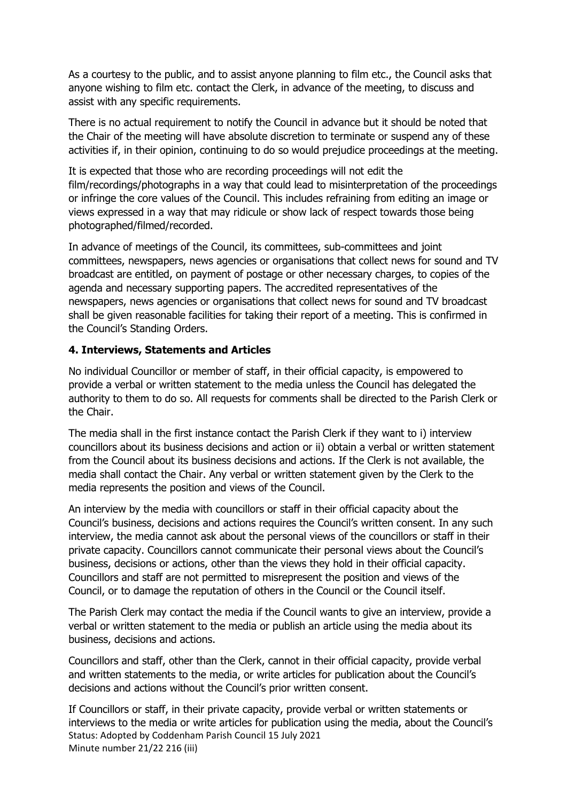As a courtesy to the public, and to assist anyone planning to film etc., the Council asks that anyone wishing to film etc. contact the Clerk, in advance of the meeting, to discuss and assist with any specific requirements.

There is no actual requirement to notify the Council in advance but it should be noted that the Chair of the meeting will have absolute discretion to terminate or suspend any of these activities if, in their opinion, continuing to do so would prejudice proceedings at the meeting.

It is expected that those who are recording proceedings will not edit the film/recordings/photographs in a way that could lead to misinterpretation of the proceedings or infringe the core values of the Council. This includes refraining from editing an image or views expressed in a way that may ridicule or show lack of respect towards those being photographed/filmed/recorded.

In advance of meetings of the Council, its committees, sub-committees and joint committees, newspapers, news agencies or organisations that collect news for sound and TV broadcast are entitled, on payment of postage or other necessary charges, to copies of the agenda and necessary supporting papers. The accredited representatives of the newspapers, news agencies or organisations that collect news for sound and TV broadcast shall be given reasonable facilities for taking their report of a meeting. This is confirmed in the Council's Standing Orders.

#### **4. Interviews, Statements and Articles**

No individual Councillor or member of staff, in their official capacity, is empowered to provide a verbal or written statement to the media unless the Council has delegated the authority to them to do so. All requests for comments shall be directed to the Parish Clerk or the Chair.

The media shall in the first instance contact the Parish Clerk if they want to i) interview councillors about its business decisions and action or ii) obtain a verbal or written statement from the Council about its business decisions and actions. If the Clerk is not available, the media shall contact the Chair. Any verbal or written statement given by the Clerk to the media represents the position and views of the Council.

An interview by the media with councillors or staff in their official capacity about the Council's business, decisions and actions requires the Council's written consent. In any such interview, the media cannot ask about the personal views of the councillors or staff in their private capacity. Councillors cannot communicate their personal views about the Council's business, decisions or actions, other than the views they hold in their official capacity. Councillors and staff are not permitted to misrepresent the position and views of the Council, or to damage the reputation of others in the Council or the Council itself.

The Parish Clerk may contact the media if the Council wants to give an interview, provide a verbal or written statement to the media or publish an article using the media about its business, decisions and actions.

Councillors and staff, other than the Clerk, cannot in their official capacity, provide verbal and written statements to the media, or write articles for publication about the Council's decisions and actions without the Council's prior written consent.

Status: Adopted by Coddenham Parish Council 15 July 2021 Minute number 21/22 216 (iii) If Councillors or staff, in their private capacity, provide verbal or written statements or interviews to the media or write articles for publication using the media, about the Council's